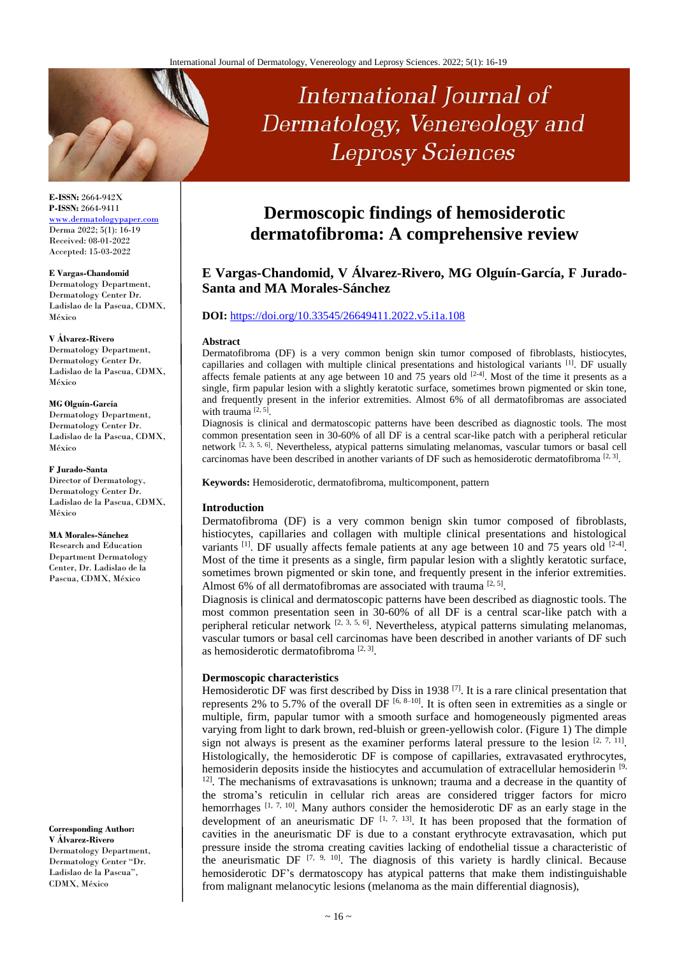# International Journal of Dermatology, Venereology and **Leprosy Sciences**

### **E-ISSN:** 2664-942X **P-ISSN:** 2664-9411 [www.dermatologypaper.com](http://www.dermatologypaper.com/) Derma 2022; 5(1): 16-19 Received: 08-01-2022 Accepted: 15-03-2022

### **E Vargas-Chandomid**

Dermatology Department, Dermatology Center Dr. Ladislao de la Pascua, CDMX, México

#### **V Álvarez-Rivero**

Dermatology Department, Dermatology Center Dr. Ladislao de la Pascua, CDMX, México

### **MG Olguín-García**

Dermatology Department, Dermatology Center Dr. Ladislao de la Pascua, CDMX, México

### **F Jurado-Santa**

Director of Dermatology, Dermatology Center Dr. Ladislao de la Pascua, CDMX, México

### **MA Morales-Sánchez**

Research and Education Department Dermatology Center, Dr. Ladislao de la Pascua, CDMX, México

**Corresponding Author: V Álvarez-Rivero** Dermatology Department, Dermatology Center "Dr. Ladislao de la Pascua", CDMX, México

## **Dermoscopic findings of hemosiderotic dermatofibroma: A comprehensive review**

### **E Vargas-Chandomid, V Álvarez-Rivero, MG Olguín-García, F Jurado-Santa and MA Morales-Sánchez**

### **DOI:** <https://doi.org/10.33545/26649411.2022.v5.i1a.108>

### **Abstract**

Dermatofibroma (DF) is a very common benign skin tumor composed of fibroblasts, histiocytes, capillaries and collagen with multiple clinical presentations and histological variants <sup>[1]</sup>. DF usually affects female patients at any age between 10 and 75 years old  $[2-4]$ . Most of the time it presents as a single, firm papular lesion with a slightly keratotic surface, sometimes brown pigmented or skin tone, and frequently present in the inferior extremities. Almost 6% of all dermatofibromas are associated with trauma [2, 5].

Diagnosis is clinical and dermatoscopic patterns have been described as diagnostic tools. The most common presentation seen in 30-60% of all DF is a central scar-like patch with a peripheral reticular network <sup>[2, 3, 5, 6]</sup>. Nevertheless, atypical patterns simulating melanomas, vascular tumors or basal cell carcinomas have been described in another variants of DF such as hemosiderotic dermatofibroma  $[2, 3]$ .

**Keywords:** Hemosiderotic, dermatofibroma, multicomponent, pattern

### **Introduction**

Dermatofibroma (DF) is a very common benign skin tumor composed of fibroblasts, histiocytes, capillaries and collagen with multiple clinical presentations and histological variants  $^{[1]}$ . DF usually affects female patients at any age between 10 and 75 years old  $^{[2-4]}$ . Most of the time it presents as a single, firm papular lesion with a slightly keratotic surface, sometimes brown pigmented or skin tone, and frequently present in the inferior extremities. Almost 6% of all dermatofibromas are associated with trauma  $[2, 5]$ .

Diagnosis is clinical and dermatoscopic patterns have been described as diagnostic tools. The most common presentation seen in 30-60% of all DF is a central scar-like patch with a peripheral reticular network  $[2, 3, 5, 6]$ . Nevertheless, atypical patterns simulating melanomas, vascular tumors or basal cell carcinomas have been described in another variants of DF such as hemosiderotic dermatofibroma<sup>[2, 3]</sup>.

### **Dermoscopic characteristics**

Hemosiderotic DF was first described by Diss in 1938<sup>[7]</sup>. It is a rare clinical presentation that represents 2% to 5.7% of the overall DF  $[6, 8-10]$ . It is often seen in extremities as a single or multiple, firm, papular tumor with a smooth surface and homogeneously pigmented areas varying from light to dark brown, red-bluish or green-yellowish color. (Figure 1) The dimple sign not always is present as the examiner performs lateral pressure to the lesion  $[2, 7, 11]$ . Histologically, the hemosiderotic DF is compose of capillaries, extravasated erythrocytes, hemosiderin deposits inside the histiocytes and accumulation of extracellular hemosiderin [9, <sup>12]</sup>. The mechanisms of extravasations is unknown; trauma and a decrease in the quantity of the stroma's reticulin in cellular rich areas are considered trigger factors for micro hemorrhages  $[1, 7, 10]$ . Many authors consider the hemosiderotic DF as an early stage in the development of an aneurismatic DF  $[1, 7, 13]$ . It has been proposed that the formation of cavities in the aneurismatic DF is due to a constant erythrocyte extravasation, which put pressure inside the stroma creating cavities lacking of endothelial tissue a characteristic of the aneurismatic DF  $[7, 9, 10]$ . The diagnosis of this variety is hardly clinical. Because hemosiderotic DF's dermatoscopy has atypical patterns that make them indistinguishable from malignant melanocytic lesions (melanoma as the main differential diagnosis),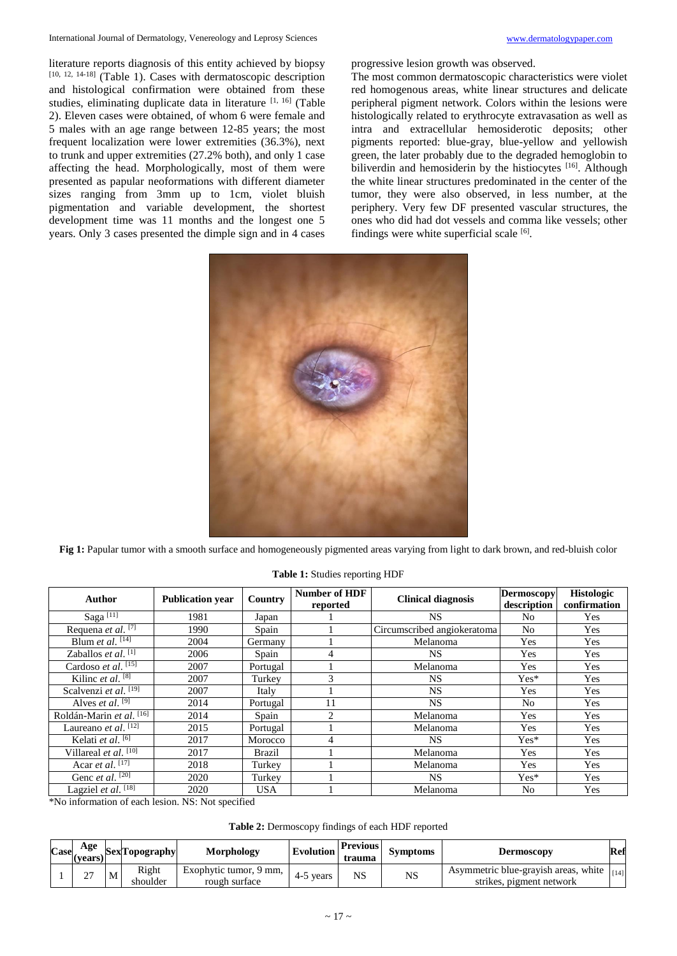literature reports diagnosis of this entity achieved by biopsy [10, 12, 14-18] (Table 1). Cases with dermatoscopic description and histological confirmation were obtained from these studies, eliminating duplicate data in literature [1, 16] (Table 2). Eleven cases were obtained, of whom 6 were female and 5 males with an age range between 12-85 years; the most frequent localization were lower extremities (36.3%), next to trunk and upper extremities (27.2% both), and only 1 case affecting the head. Morphologically, most of them were presented as papular neoformations with different diameter sizes ranging from 3mm up to 1cm, violet bluish pigmentation and variable development, the shortest development time was 11 months and the longest one 5 years. Only 3 cases presented the dimple sign and in 4 cases progressive lesion growth was observed.

The most common dermatoscopic characteristics were violet red homogenous areas, white linear structures and delicate peripheral pigment network. Colors within the lesions were histologically related to erythrocyte extravasation as well as intra and extracellular hemosiderotic deposits; other pigments reported: blue-gray, blue-yellow and yellowish green, the later probably due to the degraded hemoglobin to biliverdin and hemosiderin by the histiocytes [16]. Although the white linear structures predominated in the center of the tumor, they were also observed, in less number, at the periphery. Very few DF presented vascular structures, the ones who did had dot vessels and comma like vessels; other findings were white superficial scale [6].



Fig 1: Papular tumor with a smooth surface and homogeneously pigmented areas varying from light to dark brown, and red-bluish color

| Author                              | <b>Publication year</b> | Country    | <b>Number of HDF</b><br>reported | <b>Clinical diagnosis</b>   | <b>Dermoscopy</b><br>description | <b>Histologic</b><br>confirmation |
|-------------------------------------|-------------------------|------------|----------------------------------|-----------------------------|----------------------------------|-----------------------------------|
| Saga <sup>[11]</sup>                | 1981                    | Japan      |                                  | NS.                         | N <sub>0</sub>                   | Yes                               |
| Requena et al. $\boxed{7}$          | 1990                    | Spain      |                                  | Circumscribed angiokeratoma | No.                              | Yes                               |
| Blum et al. $\overline{[14]}$       | 2004                    | Germany    |                                  | Melanoma                    | Yes                              | Yes                               |
| Zaballos et al. $[1]$               | 2006                    | Spain      | 4                                | NS.                         | Yes                              | Yes                               |
| Cardoso et al. $\overline{^{[15]}}$ | 2007                    | Portugal   |                                  | Melanoma                    | Yes                              | Yes                               |
| Kilinc et al. $[8]$                 | 2007                    | Turkey     | 3                                | <b>NS</b>                   | $Yes*$                           | Yes                               |
| Scalvenzi et al. $\overline{[19]}$  | 2007                    | Italy      |                                  | <b>NS</b>                   | Yes                              | Yes                               |
| Alves <i>et al.</i> $^{[9]}$        | 2014                    | Portugal   | 11                               | <b>NS</b>                   | No                               | Yes                               |
| Roldán-Marin et al. <sup>[16]</sup> | 2014                    | Spain      | $\overline{2}$                   | Melanoma                    | Yes                              | Yes                               |
| Laureano <i>et al.</i> $[12]$       | 2015                    | Portugal   |                                  | Melanoma                    | Yes                              | Yes                               |
| Kelati et al. $[6]$                 | 2017                    | Morocco    | 4                                | <b>NS</b>                   | $Yes*$                           | Yes                               |
| Villareal et al. [10]               | 2017                    | Brazil     |                                  | Melanoma                    | Yes                              | Yes                               |
| Acar et al. $[17]$                  | 2018                    | Turkey     |                                  | Melanoma                    | Yes                              | Yes                               |
| Genc et al. [20]                    | 2020                    | Turkey     |                                  | NS.                         | $Yes*$                           | Yes                               |
| Lagziel et al. $\overline{^{[18]}}$ | 2020                    | <b>USA</b> |                                  | Melanoma                    | No                               | Yes                               |

**Table 1:** Studies reporting HDF

\*No information of each lesion. NS: Not specified

| Table 2: Dermoscopy findings of each HDF reported |  |  |
|---------------------------------------------------|--|--|
|---------------------------------------------------|--|--|

| Case | Age<br>(years)          |   | <b>SexTopography</b> | Morphology                              | Evolution | <b>Previous</b><br>trauma | <b>Symptoms</b> | Dermoscopy                                                       | Ref    |
|------|-------------------------|---|----------------------|-----------------------------------------|-----------|---------------------------|-----------------|------------------------------------------------------------------|--------|
|      | $\sim$<br>$\mathcal{L}$ | M | Right<br>shoulder    | Exophytic tumor, 9 mm,<br>rough surface | 4-5 years | NS                        | NS              | Asymmetric blue-grayish areas, white<br>strikes, pigment network | $[14]$ |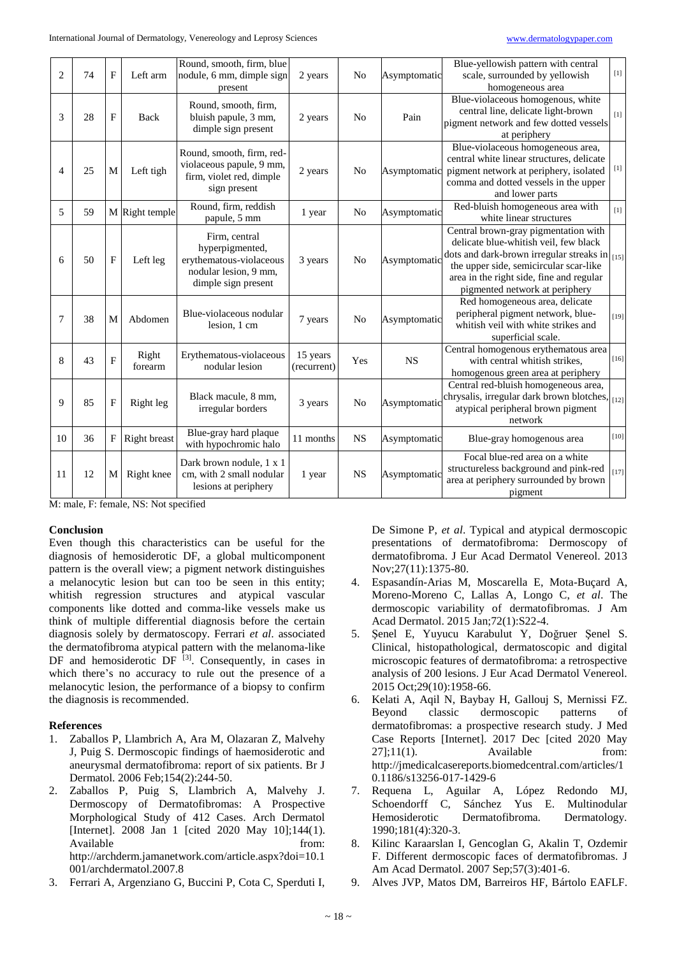| $\overline{2}$ | 74 | $\mathbf{F}$   | Left arm         | Round, smooth, firm, blue<br>nodule, 6 mm, dimple sign<br>present                                           | 2 years                 | N <sub>0</sub> | Asymptomatic | Blue-yellowish pattern with central<br>scale, surrounded by yellowish<br>homogeneous area                                                                                                                                                                   | $[1]$               |
|----------------|----|----------------|------------------|-------------------------------------------------------------------------------------------------------------|-------------------------|----------------|--------------|-------------------------------------------------------------------------------------------------------------------------------------------------------------------------------------------------------------------------------------------------------------|---------------------|
| 3              | 28 | $\mathbf{F}$   | Back             | Round, smooth, firm,<br>bluish papule, 3 mm,<br>dimple sign present                                         | 2 years                 | N <sub>o</sub> | Pain         | Blue-violaceous homogenous, white<br>central line, delicate light-brown<br>pigment network and few dotted vessels<br>at periphery                                                                                                                           | [1]                 |
| 4              | 25 | M              | Left tigh        | Round, smooth, firm, red-<br>violaceous papule, 9 mm,<br>firm, violet red, dimple<br>sign present           | 2 years                 | N <sub>0</sub> | Asymptomatic | Blue-violaceous homogeneous area,<br>central white linear structures, delicate<br>pigment network at periphery, isolated<br>comma and dotted vessels in the upper<br>and lower parts                                                                        | $[1]$               |
| 5              | 59 |                | M Right temple   | Round, firm, reddish<br>papule, 5 mm                                                                        | 1 year                  | N <sub>0</sub> | Asymptomatic | Red-bluish homogeneous area with<br>white linear structures                                                                                                                                                                                                 | [1]                 |
| 6              | 50 | $\mathbf F$    | Left leg         | Firm, central<br>hyperpigmented,<br>erythematous-violaceous<br>nodular lesion, 9 mm,<br>dimple sign present | 3 years                 | N <sub>0</sub> | Asymptomatic | Central brown-gray pigmentation with<br>delicate blue-whitish veil, few black<br>dots and dark-brown irregular streaks in $_{[15]}$<br>the upper side, semicircular scar-like<br>area in the right side, fine and regular<br>pigmented network at periphery |                     |
| 7              | 38 | M              | Abdomen          | Blue-violaceous nodular<br>lesion, 1 cm                                                                     | 7 years                 | No             | Asymptomatic | Red homogeneous area, delicate<br>peripheral pigment network, blue-<br>whitish veil with white strikes and<br>superficial scale.                                                                                                                            | $\left[19\right]$   |
| 8              | 43 | $\overline{F}$ | Right<br>forearm | Erythematous-violaceous<br>nodular lesion                                                                   | 15 years<br>(recurrent) | Yes            | <b>NS</b>    | Central homogenous erythematous area<br>with central whitish strikes,<br>homogenous green area at periphery                                                                                                                                                 | $[16]$              |
| 9              | 85 | $\overline{F}$ | Right leg        | Black macule, 8 mm,<br>irregular borders                                                                    | 3 years                 | N <sub>o</sub> | Asymptomatic | Central red-bluish homogeneous area,<br>chrysalis, irregular dark brown blotches, [12]<br>atypical peripheral brown pigment<br>network                                                                                                                      |                     |
| 10             | 36 | F              | Right breast     | Blue-gray hard plaque<br>with hypochromic halo                                                              | 11 months               | <b>NS</b>      | Asymptomatic | Blue-gray homogenous area                                                                                                                                                                                                                                   | $[10]$              |
| 11             | 12 | M              | Right knee       | Dark brown nodule, 1 x 1<br>cm, with 2 small nodular<br>lesions at periphery                                | 1 year                  | <b>NS</b>      | Asymptomatic | Focal blue-red area on a white<br>structureless background and pink-red<br>area at periphery surrounded by brown<br>pigment                                                                                                                                 | $[17] \label{eq:4}$ |

M: male, F: female, NS: Not specified

### **Conclusion**

Even though this characteristics can be useful for the diagnosis of hemosiderotic DF, a global multicomponent pattern is the overall view; a pigment network distinguishes a melanocytic lesion but can too be seen in this entity; whitish regression structures and atypical vascular components like dotted and comma-like vessels make us think of multiple differential diagnosis before the certain diagnosis solely by dermatoscopy. Ferrari *et al*. associated the dermatofibroma atypical pattern with the melanoma-like DF and hemosiderotic DF  $^{[3]}$ . Consequently, in cases in which there's no accuracy to rule out the presence of a melanocytic lesion, the performance of a biopsy to confirm the diagnosis is recommended.

### **References**

- 1. Zaballos P, Llambrich A, Ara M, Olazaran Z, Malvehy J, Puig S. Dermoscopic findings of haemosiderotic and aneurysmal dermatofibroma: report of six patients. Br J Dermatol. 2006 Feb;154(2):244-50.
- 2. Zaballos P, Puig S, Llambrich A, Malvehy J. Dermoscopy of Dermatofibromas: A Prospective Morphological Study of 412 Cases. Arch Dermatol [Internet]. 2008 Jan 1 [cited 2020 May 10];144(1). Available from: http://archderm.jamanetwork.com/article.aspx?doi=10.1 001/archdermatol.2007.8
- 3. Ferrari A, Argenziano G, Buccini P, Cota C, Sperduti I,

De Simone P, *et al*. Typical and atypical dermoscopic presentations of dermatofibroma: Dermoscopy of dermatofibroma. J Eur Acad Dermatol Venereol. 2013 Nov;27(11):1375-80.

- 4. Espasandín-Arias M, Moscarella E, Mota-Buçard A, Moreno-Moreno C, Lallas A, Longo C, *et al*. The dermoscopic variability of dermatofibromas. J Am Acad Dermatol. 2015 Jan;72(1):S22-4.
- 5. Şenel E, Yuyucu Karabulut Y, Doğruer Şenel S. Clinical, histopathological, dermatoscopic and digital microscopic features of dermatofibroma: a retrospective analysis of 200 lesions. J Eur Acad Dermatol Venereol. 2015 Oct;29(10):1958-66.
- 6. Kelati A, Aqil N, Baybay H, Gallouj S, Mernissi FZ. Beyond classic dermoscopic patterns of dermatofibromas: a prospective research study. J Med Case Reports [Internet]. 2017 Dec [cited 2020 May  $27$ ];11(1). Available from: http://jmedicalcasereports.biomedcentral.com/articles/1 0.1186/s13256-017-1429-6
- 7. Requena L, Aguilar A, López Redondo MJ, Schoendorff C, Sánchez Yus E. Multinodular Hemosiderotic Dermatofibroma. Dermatology. 1990;181(4):320-3.
- 8. Kilinc Karaarslan I, Gencoglan G, Akalin T, Ozdemir F. Different dermoscopic faces of dermatofibromas. J Am Acad Dermatol. 2007 Sep;57(3):401-6.
- 9. Alves JVP, Matos DM, Barreiros HF, Bártolo EAFLF.